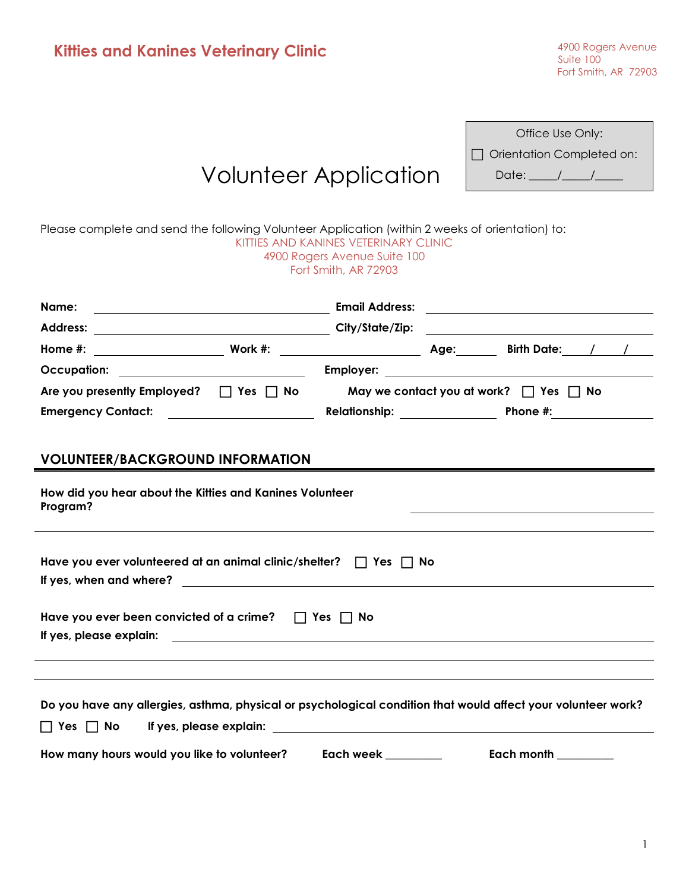| <b>Kitties and Kanines Veterinary Clinic</b>                                                                    |                                                            |                                                                                               | 4900 Rogers Avenue<br>Suite 100<br>Fort Smith, AR 72903                                                                                                                                                                              |
|-----------------------------------------------------------------------------------------------------------------|------------------------------------------------------------|-----------------------------------------------------------------------------------------------|--------------------------------------------------------------------------------------------------------------------------------------------------------------------------------------------------------------------------------------|
|                                                                                                                 | <b>Volunteer Application</b>                               |                                                                                               | Office Use Only:<br>Orientation Completed on:<br>Date: $\frac{\sqrt{2}}{2}$                                                                                                                                                          |
| Please complete and send the following Volunteer Application (within 2 weeks of orientation) to:                |                                                            | KITTIES AND KANINES VETERINARY CLINIC<br>4900 Rogers Avenue Suite 100<br>Fort Smith, AR 72903 |                                                                                                                                                                                                                                      |
| Name:                                                                                                           |                                                            |                                                                                               |                                                                                                                                                                                                                                      |
|                                                                                                                 |                                                            |                                                                                               |                                                                                                                                                                                                                                      |
|                                                                                                                 |                                                            |                                                                                               |                                                                                                                                                                                                                                      |
|                                                                                                                 |                                                            |                                                                                               |                                                                                                                                                                                                                                      |
| Are you presently Employed? □ Yes □ No May we contact you at work? □ Yes □ No                                   |                                                            |                                                                                               | Emergency Contact: The Relationship: The Phone #:                                                                                                                                                                                    |
| <b>VOLUNTEER/BACKGROUND INFORMATION</b><br>How did you hear about the Kitties and Kanines Volunteer<br>Program? |                                                            |                                                                                               |                                                                                                                                                                                                                                      |
| Have you ever volunteered at an animal clinic/shelter? $\Box$ Yes $\Box$ No<br>If yes, when and where?          |                                                            |                                                                                               |                                                                                                                                                                                                                                      |
| Have you ever been convicted of a crime? $\Box$ Yes $\Box$ No<br>If yes, please explain:                        | <u> 1989 - Johann Barn, amerikansk politiker (d. 1989)</u> |                                                                                               |                                                                                                                                                                                                                                      |
|                                                                                                                 | If yes, please explain:                                    |                                                                                               | Do you have any allergies, asthma, physical or psychological condition that would affect your volunteer work?                                                                                                                        |
| How many hours would you like to volunteer?                                                                     |                                                            | Each week _________                                                                           | Each month <b>contains the contract of the contract of the contract of the contract of the contract of the contract of the contract of the contract of the contract of the contract of the contract of the contract of the contr</b> |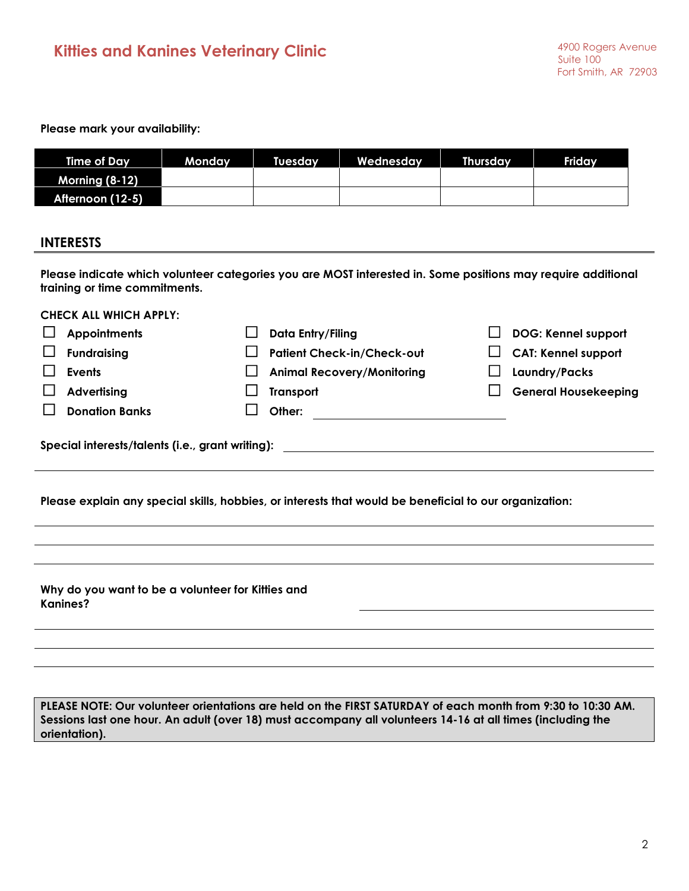**Please mark your availability:**

**CHECK ALL WHICH APPLY:**

| Time of Day           | Mondav | Tuesdav | Wednesday | <b>Thursday</b> | <b>Friday</b> |
|-----------------------|--------|---------|-----------|-----------------|---------------|
| <b>Morning (8-12)</b> |        |         |           |                 |               |
| Afternoon (12-5)      |        |         |           |                 |               |

## **INTERESTS**

**Please indicate which volunteer categories you are MOST interested in. Some positions may require additional training or time commitments.**

| 90698 ALL WINSH ALLLI.                           |                                                                                                        |                             |
|--------------------------------------------------|--------------------------------------------------------------------------------------------------------|-----------------------------|
| <b>Appointments</b>                              | Data Entry/Filing                                                                                      | <b>DOG: Kennel support</b>  |
| <b>Fundraising</b>                               | <b>Patient Check-in/Check-out</b>                                                                      | <b>CAT: Kennel support</b>  |
| <b>Events</b>                                    | <b>Animal Recovery/Monitoring</b>                                                                      | Laundry/Packs               |
| <b>Advertising</b>                               | <b>Transport</b>                                                                                       | <b>General Housekeeping</b> |
| <b>Donation Banks</b>                            | Other:                                                                                                 |                             |
| Special interests/talents (i.e., grant writing): |                                                                                                        |                             |
|                                                  | Please explain any special skills, hobbies, or interests that would be beneficial to our organization: |                             |
|                                                  |                                                                                                        |                             |

**Why do you want to be a volunteer for Kitties and Kanines?**

**PLEASE NOTE: Our volunteer orientations are held on the FIRST SATURDAY of each month from 9:30 to 10:30 AM. Sessions last one hour. An adult (over 18) must accompany all volunteers 14-16 at all times (including the orientation).**